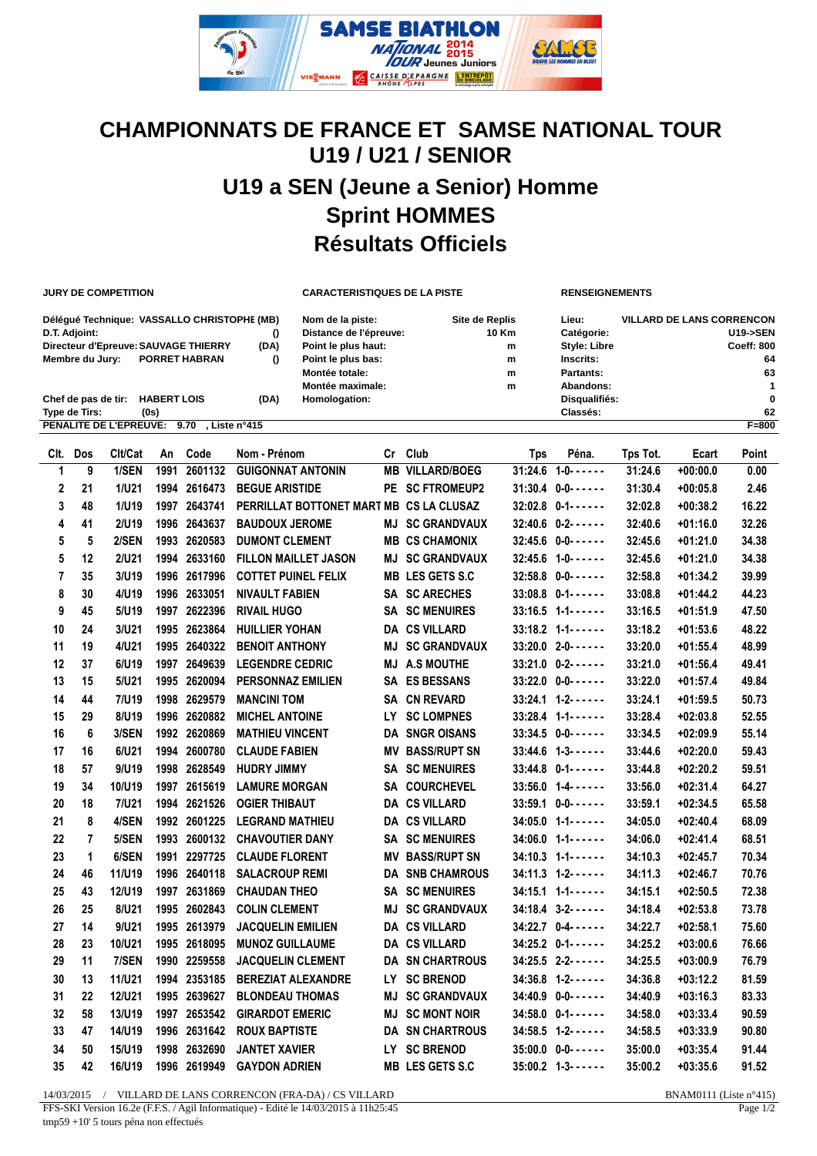

## **CHAMPIONNATS DE FRANCE ET SAMSE NATIONAL TOUR U19 / U21 / SENIOR U19 a SEN (Jeune a Senior) Homme Sprint HOMMES Résultats Officiels**

**JURY DE COMPETITION CARACTERISTIQUES DE LA PISTE RENSEIGNEMENTS**

|                                      | Déléqué Technique: VASSALLO CHRISTOPHE (MB)              |      | Nom de la piste:       | Site de Replis | Lieu:               | <b>VILLARD DE LANS CORRENCON</b> |  |  |  |  |
|--------------------------------------|----------------------------------------------------------|------|------------------------|----------------|---------------------|----------------------------------|--|--|--|--|
| D.T. Adjoint:                        |                                                          |      | Distance de l'épreuve: | 10 Km          | Catégorie:          | <b>U19-&gt;SEN</b>               |  |  |  |  |
| Directeur d'Epreuve: SAUVAGE THIERRY |                                                          | (DA) | Point le plus haut:    | m              | <b>Style: Libre</b> | <b>Coeff: 800</b>                |  |  |  |  |
| Membre du Jurv:                      | <b>PORRET HABRAN</b>                                     |      | Point le plus bas:     | m              | Inscrits:           | 64                               |  |  |  |  |
|                                      |                                                          |      | Montée totale:         | m              | Partants:           | 63                               |  |  |  |  |
|                                      |                                                          |      | Montée maximale:       | m              | Abandons:           |                                  |  |  |  |  |
| Chef de pas de tir:                  | <b>HABERT LOIS</b>                                       | (DA) | Homologation:          |                | Disqualifiés:       | $\bf{0}$                         |  |  |  |  |
| Type de Tirs:                        | (0s)                                                     |      |                        |                | Classés:            | 62                               |  |  |  |  |
|                                      | PENALITE DE L'EPREUVE: 9.70<br>$F = 800$<br>Liste n°415. |      |                        |                |                     |                                  |  |  |  |  |

|                | Clt. Dos       | Clt/Cat      | An   | Code         | Nom - Prénom                            |      | Cr Club                | Tps     | Péna.                      | Tps Tot. | Ecart      | Point |
|----------------|----------------|--------------|------|--------------|-----------------------------------------|------|------------------------|---------|----------------------------|----------|------------|-------|
| 1              | 9              | 1/SEN        | 1991 | 2601132      | <b>GUIGONNAT ANTONIN</b>                |      | <b>MB VILLARD/BOEG</b> |         | $31:24.6$ 1-0- $\dots$     | 31:24.6  | $+00:00.0$ | 0.00  |
| 2              | 21             | 1/U21        |      | 1994 2616473 | <b>BEGUE ARISTIDE</b>                   |      | PE SC FTROMEUP2        |         | $31:30.4$ $0-0-0-0$        | 31:30.4  | $+00:05.8$ | 2.46  |
| 3              | 48             | 1/119        |      | 1997 2643741 | PERRILLAT BOTTONET MART MB CS LA CLUSAZ |      |                        |         | $32:02.8$ $0-1$ ------     | 32:02.8  | $+00:38.2$ | 16.22 |
| 4              | 41             | 2/U19        | 1996 | 2643637      | <b>BAUDOUX JEROME</b>                   |      | <b>MJ SC GRANDVAUX</b> |         | $32:40.6$ $0-2$ ------     | 32:40.6  | $+01:16.0$ | 32.26 |
| 5              | 5              | 2/SEN        | 1993 | 2620583      | <b>DUMONT CLEMENT</b>                   |      | <b>MB CS CHAMONIX</b>  |         | $32:45.6$ 0-0------        | 32:45.6  | $+01:21.0$ | 34.38 |
| 5              | 12             | <b>2/U21</b> |      | 1994 2633160 | <b>FILLON MAILLET JASON</b>             |      | <b>MJ SC GRANDVAUX</b> |         | $32:45.6$ 1-0------        | 32:45.6  | $+01:21.0$ | 34.38 |
| $\overline{7}$ | 35             | 3/U19        |      | 1996 2617996 | <b>COTTET PUINEL FELIX</b>              |      | <b>MB LES GETS S.C</b> |         | $32:58.8$ $0-0-0-0$        | 32:58.8  | $+01:34.2$ | 39.99 |
| 8              | 30             | 4/U19        |      | 1996 2633051 | <b>NIVAULT FABIEN</b>                   |      | SA SC ARECHES          |         | $33:08.8$ $0-1$ ------     | 33:08.8  | $+01:44.2$ | 44.23 |
| 9              | 45             | 5/U19        | 1997 | 2622396      | <b>RIVAIL HUGO</b>                      |      | <b>SA SC MENUIRES</b>  |         | $33:16.5$ 1-1------        | 33:16.5  | $+01:51.9$ | 47.50 |
| 10             | 24             | 3/U21        |      | 1995 2623864 | <b>HUILLIER YOHAN</b>                   |      | <b>DA CS VILLARD</b>   |         | $33:18.2$ 1-1- $\dots$     | 33:18.2  | $+01:53.6$ | 48.22 |
| 11             | 19             | 4/U21        |      | 1995 2640322 | <b>BENOIT ANTHONY</b>                   | MJ   | <b>SC GRANDVAUX</b>    |         | $33:20.0$ 2-0- $\dots$     | 33:20.0  | $+01:55.4$ | 48.99 |
| 12             | 37             | 6/U19        | 1997 | 2649639      | <b>LEGENDRE CEDRIC</b>                  | MJ   | <b>A.S MOUTHE</b>      |         | $33:21.0$ $0-2$ ------     | 33:21.0  | $+01:56.4$ | 49.41 |
| 13             | 15             | 5/U21        |      | 1995 2620094 | <b>PERSONNAZ EMILIEN</b>                |      | <b>SA ES BESSANS</b>   |         | $33:22.0$ $0-0-0-0$        | 33:22.0  | $+01:57.4$ | 49.84 |
| 14             | 44             | 7/U19        | 1998 | 2629579      | <b>MANCINI TOM</b>                      |      | <b>SA CN REVARD</b>    |         | $33:24.1$ $1-2$ ------     | 33:24.1  | $+01:59.5$ | 50.73 |
| 15             | 29             | 8/U19        |      | 1996 2620882 | <b>MICHEL ANTOINE</b>                   | LY.  | <b>SC LOMPNES</b>      |         | $33:28.4$ 1-1- $\dots$     | 33:28.4  | $+02:03.8$ | 52.55 |
| 16             | 6              | 3/SEN        |      | 1992 2620869 | <b>MATHIEU VINCENT</b>                  |      | DA SNGR OISANS         |         | $33:34.5$ 0-0- $\dots$     | 33:34.5  | $+02:09.9$ | 55.14 |
| 17             | 16             | 6/U21        |      | 1994 2600780 | <b>CLAUDE FABIEN</b>                    |      | <b>MV BASS/RUPT SN</b> |         | $33:44.6$ $1-3-$ - - - - - | 33:44.6  | $+02:20.0$ | 59.43 |
| 18             | 57             | 9/U19        |      | 1998 2628549 | <b>HUDRY JIMMY</b>                      |      | <b>SA SC MENUIRES</b>  |         | $33:44.8$ $0-1$ ------     | 33:44.8  | $+02:20.2$ | 59.51 |
| 19             | 34             | 10/U19       | 1997 | 2615619      | <b>LAMURE MORGAN</b>                    |      | SA COURCHEVEL          |         | $33:56.0$ 1-4- $\cdots$    | 33:56.0  | $+02:31.4$ | 64.27 |
| 20             | 18             | 7/U21        | 1994 | 2621526      | <b>OGIER THIBAUT</b>                    |      | <b>DA CS VILLARD</b>   | 33:59.1 | $0 - 0 - 0 - 0 - 0 - 0$    | 33:59.1  | $+02:34.5$ | 65.58 |
| 21             | 8              | 4/SEN        | 1992 | 2601225      | <b>LEGRAND MATHIEU</b>                  |      | <b>DA CS VILLARD</b>   |         | $34:05.0$ 1-1------        | 34:05.0  | $+02:40.4$ | 68.09 |
| 22             | $\overline{7}$ | 5/SEN        | 1993 | 2600132      | <b>CHAVOUTIER DANY</b>                  |      | <b>SA SC MENUIRES</b>  |         | $34:06.0$ 1-1------        | 34:06.0  | $+02:41.4$ | 68.51 |
| 23             | 1              | 6/SEN        |      | 1991 2297725 | <b>CLAUDE FLORENT</b>                   | ΜV   | <b>BASS/RUPT SN</b>    |         | $34:10.3$ 1-1- $\dots$     | 34:10.3  | $+02:45.7$ | 70.34 |
| 24             | 46             | 11/U19       |      | 1996 2640118 | <b>SALACROUP REMI</b>                   |      | <b>DA SNB CHAMROUS</b> |         | $34:11.3$ $1-2$ - - - - -  | 34:11.3  | $+02:46.7$ | 70.76 |
| 25             | 43             | 12/U19       |      | 1997 2631869 | <b>CHAUDAN THEO</b>                     |      | <b>SA SC MENUIRES</b>  |         | $34:15.1$ 1-1------        | 34:15.1  | $+02:50.5$ | 72.38 |
| 26             | 25             | 8/U21        |      | 1995 2602843 | <b>COLIN CLEMENT</b>                    | MJ   | <b>SC GRANDVAUX</b>    |         | $34:18.4$ $3-2$ ------     | 34:18.4  | $+02:53.8$ | 73.78 |
| 27             | 14             | 9/U21        |      | 1995 2613979 | <b>JACQUELIN EMILIEN</b>                |      | <b>DA CS VILLARD</b>   |         | $34:22.7$ 0-4- $\cdots$    | 34:22.7  | $+02:58.1$ | 75.60 |
| 28             | 23             | 10/U21       |      | 1995 2618095 | <b>MUNOZ GUILLAUME</b>                  |      | <b>DA CS VILLARD</b>   |         | $34:25.2$ 0-1------        | 34:25.2  | $+03:00.6$ | 76.66 |
| 29             | 11             | 7/SEN        | 1990 | 2259558      | <b>JACQUELIN CLEMENT</b>                |      | <b>DA SN CHARTROUS</b> | 34:25.5 | $2 - 2 - - - - - -$        | 34:25.5  | $+03:00.9$ | 76.79 |
| 30             | 13             | 11/U21       |      | 1994 2353185 | <b>BEREZIAT ALEXANDRE</b>               | LY . | <b>SC BRENOD</b>       |         | $34:36.8$ $1-2$ ------     | 34:36.8  | $+03:12.2$ | 81.59 |
| 31             | 22             | 12/U21       |      | 1995 2639627 | <b>BLONDEAU THOMAS</b>                  |      | <b>MJ SC GRANDVAUX</b> |         | $34:40.9$ $0-0-0-0$        | 34:40.9  | $+03:16.3$ | 83.33 |
| 32             | 58             | 13/U19       |      | 1997 2653542 | <b>GIRARDOT EMERIC</b>                  |      | <b>MJ SC MONT NOIR</b> |         | $34:58.0$ $0-1$ ------     | 34:58.0  | $+03:33.4$ | 90.59 |
| 33             | 47             | 14/U19       |      | 1996 2631642 | <b>ROUX BAPTISTE</b>                    |      | <b>DA SN CHARTROUS</b> |         | $34:58.5$ 1-2- $\dots$     | 34:58.5  | $+03:33.9$ | 90.80 |
| 34             | 50             | 15/U19       | 1998 | 2632690      | <b>JANTET XAVIER</b>                    | LY.  | <b>SC BRENOD</b>       |         | $35:00.0$ $0-0-0$          | 35:00.0  | $+03:35.4$ | 91.44 |
| 35             | 42             | 16/U19       |      | 1996 2619949 | <b>GAYDON ADRIEN</b>                    |      | <b>MB LES GETS S.C</b> |         | $35:00.2$ 1-3- - - - - -   | 35:00.2  | $+03:35.6$ | 91.52 |

14/03/2015 / VILLARD DE LANS CORRENCON (FRA-DA) / CS VILLARD BNAM0111 (Liste n°415)